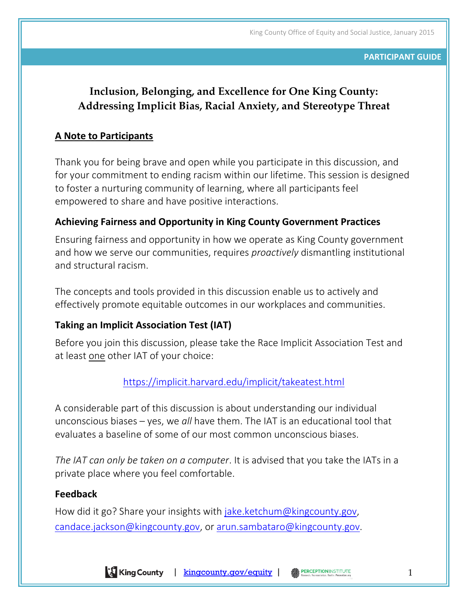#### **PARTICIPANT GUIDE**

# **Inclusion, Belonging, and Excellence for One King County: Addressing Implicit Bias, Racial Anxiety, and Stereotype Threat**

## **A Note to Participants**

Thank you for being brave and open while you participate in this discussion, and for your commitment to ending racism within our lifetime. This session is designed to foster a nurturing community of learning, where all participants feel empowered to share and have positive interactions.

# **Achieving Fairness and Opportunity in King County Government Practices**

Ensuring fairness and opportunity in how we operate as King County government and how we serve our communities, requires *proactively* dismantling institutional and structural racism.

The concepts and tools provided in this discussion enable us to actively and effectively promote equitable outcomes in our workplaces and communities.

# **Taking an Implicit Association Test (IAT)**

Before you join this discussion, please take the Race Implicit Association Test and at least one other IAT of your choice:

## <https://implicit.harvard.edu/implicit/takeatest.html>

A considerable part of this discussion is about understanding our individual unconscious biases – yes, we *all* have them. The IAT is an educational tool that evaluates a baseline of some of our most common unconscious biases.

*The IAT can only be taken on a computer*. It is advised that you take the IATs in a private place where you feel comfortable.

### **Feedback**

How did it go? Share your insights with [jake.ketchum@kingcounty.gov,](mailto:jake.ketchum@kingcounty.gov) [candace.jackson@kingcounty.gov,](mailto:candace.jackson@kingcounty.gov) or [arun.sambataro@kingcounty.gov.](mailto:arun.sambataro@kingcounty.gov)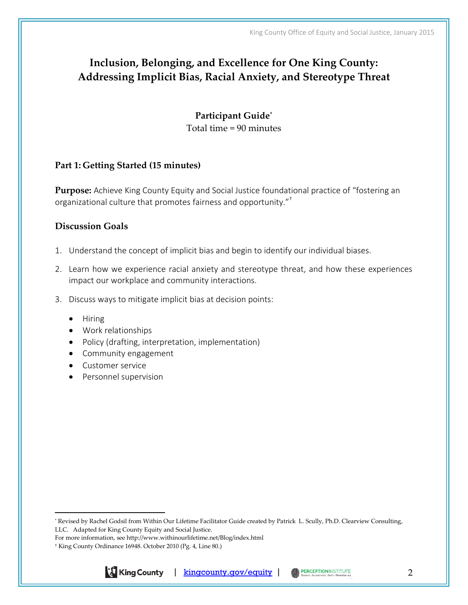# **Inclusion, Belonging, and Excellence for One King County: Addressing Implicit Bias, Racial Anxiety, and Stereotype Threat**

**Participant Guide\*** Total time = 90 minutes

#### **Part 1: Getting Started (15 minutes)**

**Purpose:** Achieve King County Equity and Social Justice foundational practice of "fostering an organizational culture that promotes fairness and opportunity."†

#### **Discussion Goals**

- 1. Understand the concept of implicit bias and begin to identify our individual biases.
- 2. Learn how we experience racial anxiety and stereotype threat, and how these experiences impact our workplace and community interactions.
- 3. Discuss ways to mitigate implicit bias at decision points:
	- $\bullet$  Hiring

 $\overline{a}$ 

- Work relationships
- Policy (drafting, interpretation, implementation)
- Community engagement
- Customer service
- Personnel supervision

<sup>†</sup> King County Ordinance 16948. October 2010 (Pg. 4, Line 80.)



<sup>\*</sup> Revised by Rachel Godsil from Within Our Lifetime Facilitator Guide created by Patrick L. Scully, Ph.D. Clearview Consulting, LLC. Adapted for King County Equity and Social Justice.

For more information, see http://www.withinourlifetime.net/Blog/index.html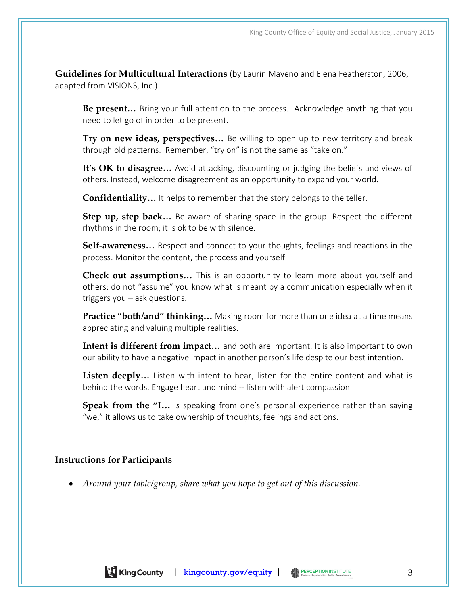**Guidelines for Multicultural Interactions** (by Laurin Mayeno and Elena Featherston, 2006, adapted from VISIONS, Inc.)

**Be present…** Bring your full attention to the process. Acknowledge anything that you need to let go of in order to be present.

**Try on new ideas, perspectives…** Be willing to open up to new territory and break through old patterns. Remember, "try on" is not the same as "take on."

It's OK to disagree... Avoid attacking, discounting or judging the beliefs and views of others. Instead, welcome disagreement as an opportunity to expand your world.

**Confidentiality…** It helps to remember that the story belongs to the teller.

**Step up, step back…** Be aware of sharing space in the group. Respect the different rhythms in the room; it is ok to be with silence.

**Self-awareness…** Respect and connect to your thoughts, feelings and reactions in the process. Monitor the content, the process and yourself.

**Check out assumptions…** This is an opportunity to learn more about yourself and others; do not "assume" you know what is meant by a communication especially when it triggers you – ask questions.

**Practice "both/and" thinking…** Making room for more than one idea at a time means appreciating and valuing multiple realities.

Intent is different from impact... and both are important. It is also important to own our ability to have a negative impact in another person's life despite our best intention.

**Listen deeply…** Listen with intent to hear, listen for the entire content and what is behind the words. Engage heart and mind -- listen with alert compassion.

**Speak from the "I…** is speaking from one's personal experience rather than saying "we," it allows us to take ownership of thoughts, feelings and actions.

#### **Instructions for Participants**

*Around your table/group, share what you hope to get out of this discussion.*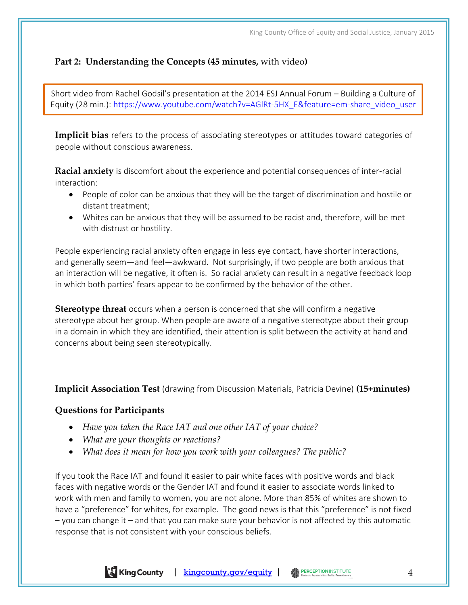## **Part 2: Understanding the Concepts (45 minutes,** with video**)**

Short video from Rachel Godsil's presentation at the 2014 ESJ Annual Forum – Building a Culture of Equity (28 min.): [https://www.youtube.com/watch?v=AGlRt-5HX\\_E&feature=em-share\\_video\\_user](https://www.youtube.com/watch?v=AGlRt-5HX_E&feature=em-share_video_user)

**Implicit bias** refers to the process of associating stereotypes or attitudes toward categories of people without conscious awareness.

**Racial anxiety** is discomfort about the experience and potential consequences of inter-racial interaction:

- People of color can be anxious that they will be the target of discrimination and hostile or distant treatment;
- Whites can be anxious that they will be assumed to be racist and, therefore, will be met with distrust or hostility.

People experiencing racial anxiety often engage in less eye contact, have shorter interactions, and generally seem—and feel—awkward. Not surprisingly, if two people are both anxious that an interaction will be negative, it often is. So racial anxiety can result in a negative feedback loop in which both parties' fears appear to be confirmed by the behavior of the other.

**Stereotype threat** occurs when a person is concerned that she will confirm a negative stereotype about her group. When people are aware of a negative stereotype about their group in a domain in which they are identified, their attention is split between the activity at hand and concerns about being seen stereotypically.

**Implicit Association Test** (drawing from Discussion Materials, Patricia Devine) **(15+minutes)**

### **Questions for Participants**

- *Have you taken the Race IAT and one other IAT of your choice?*
- *What are your thoughts or reactions?*
- *What does it mean for how you work with your colleagues? The public?*

If you took the Race IAT and found it easier to pair white faces with positive words and black faces with negative words or the Gender IAT and found it easier to associate words linked to work with men and family to women, you are not alone. More than 85% of whites are shown to have a "preference" for whites, for example. The good news is that this "preference" is not fixed – you can change it – and that you can make sure your behavior is not affected by this automatic response that is not consistent with your conscious beliefs.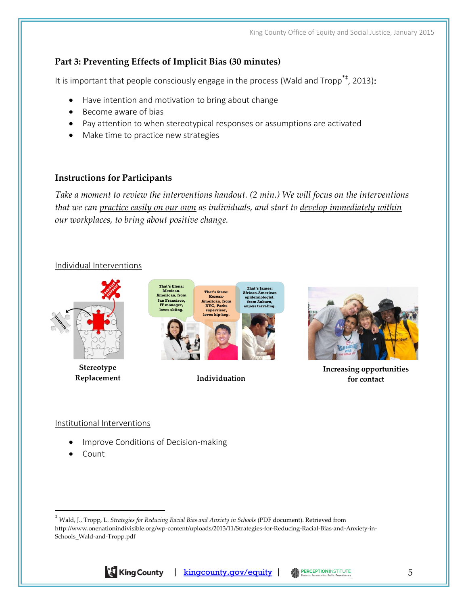## **Part 3: Preventing Effects of Implicit Bias (30 minutes)**

It is important that people consciously engage in the process (Wald and Tropp<sup>\*‡</sup>, 2013):

- Have intention and motivation to bring about change
- Become aware of bias
- Pay attention to when stereotypical responses or assumptions are activated
- Make time to practice new strategies

#### **Instructions for Participants**

*Take a moment to review the interventions handout. (2 min.) We will focus on the interventions that we can practice easily on our own as individuals, and start to develop immediately within our workplaces, to bring about positive change.*

#### Individual Interventions



**Individuation**



**Increasing opportunities for contact**

#### Institutional Interventions

**Replacement**

- Improve Conditions of Decision-making§
- Count

 $\overline{a}$ 

<sup>‡</sup> Wald, J., Tropp, L. *Strategies for Reducing Racial Bias and Anxiety in Schools* (PDF document). Retrieved from http://www.onenationindivisible.org/wp-content/uploads/2013/11/Strategies-for-Reducing-Racial-Bias-and-Anxiety-in-Schools\_Wald-and-Tropp.pdf